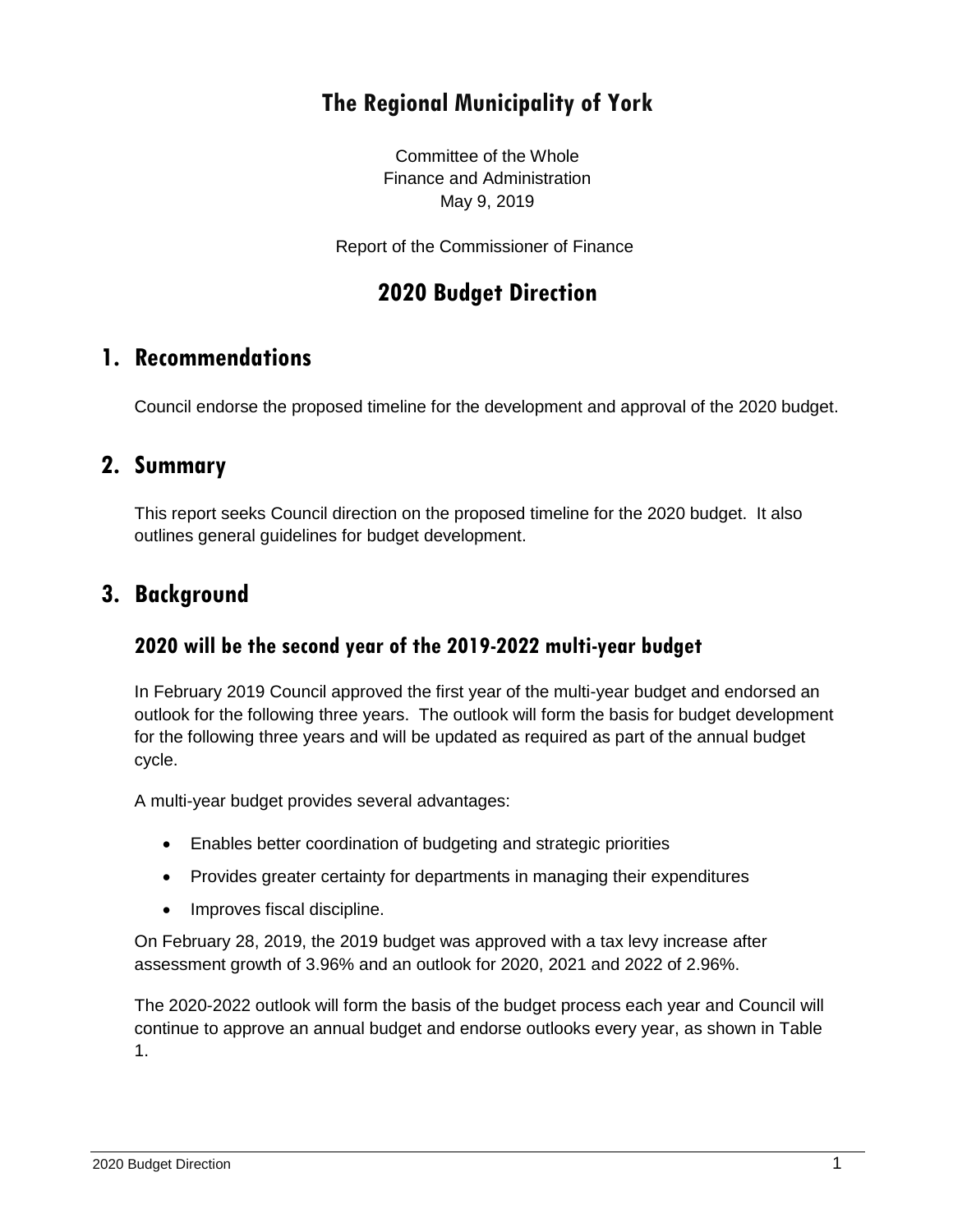# **The Regional Municipality of York**

Committee of the Whole Finance and Administration May 9, 2019

Report of the Commissioner of Finance

# **2020 Budget Direction**

## **1. Recommendations**

Council endorse the proposed timeline for the development and approval of the 2020 budget.

#### **2. Summary**

This report seeks Council direction on the proposed timeline for the 2020 budget. It also outlines general guidelines for budget development.

## **3. Background**

#### **2020 will be the second year of the 2019-2022 multi-year budget**

In February 2019 Council approved the first year of the multi-year budget and endorsed an outlook for the following three years. The outlook will form the basis for budget development for the following three years and will be updated as required as part of the annual budget cycle.

A multi-year budget provides several advantages:

- Enables better coordination of budgeting and strategic priorities
- Provides greater certainty for departments in managing their expenditures
- Improves fiscal discipline.

On February 28, 2019, the 2019 budget was approved with a tax levy increase after assessment growth of 3.96% and an outlook for 2020, 2021 and 2022 of 2.96%.

The 2020-2022 outlook will form the basis of the budget process each year and Council will continue to approve an annual budget and endorse outlooks every year, as shown in Table 1.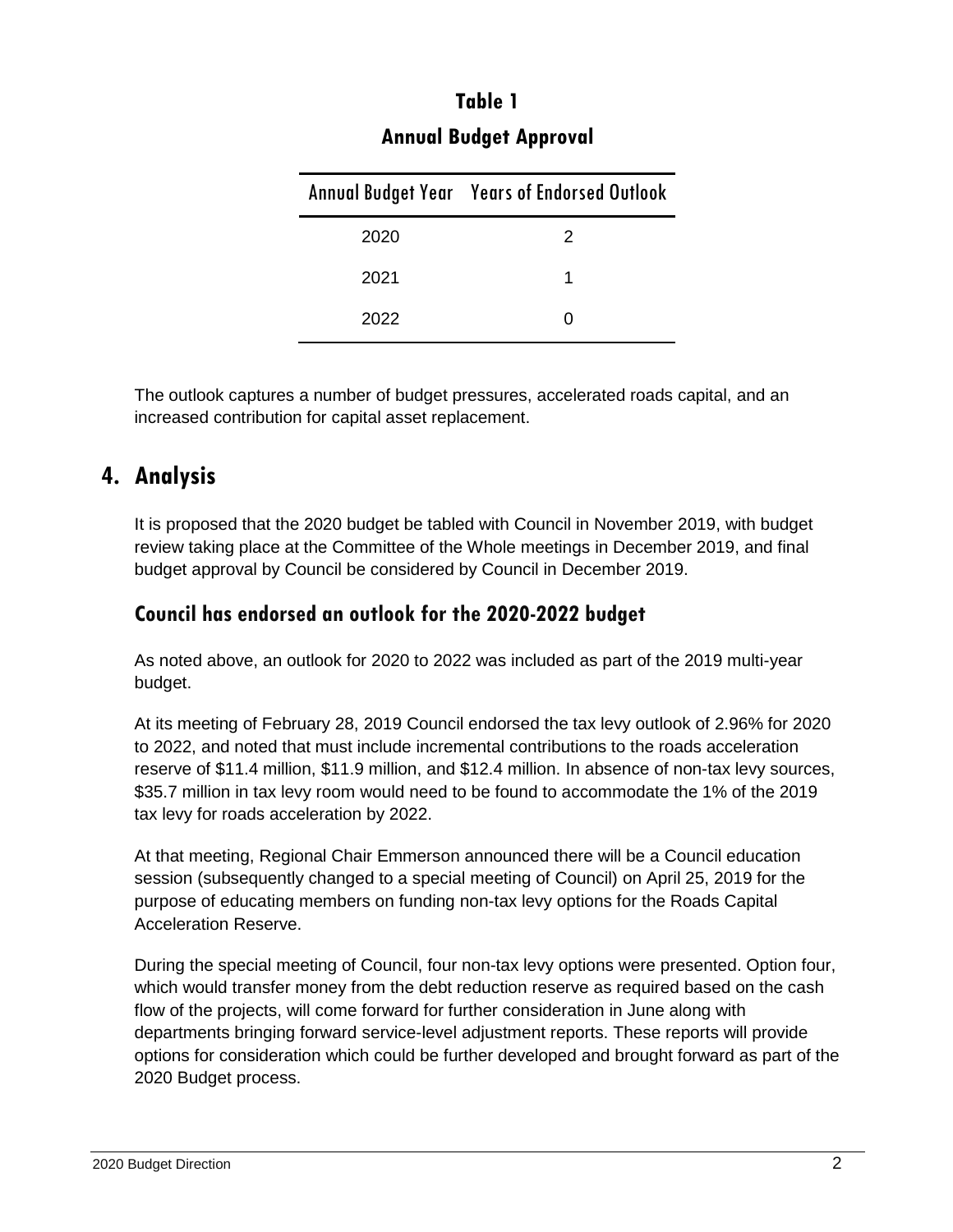|      | <b>Annual Budget Year Years of Endorsed Outlook</b> |
|------|-----------------------------------------------------|
| 2020 | 2                                                   |
| 2021 |                                                     |
| 2022 |                                                     |

# **Table 1 Annual Budget Approval**

The outlook captures a number of budget pressures, accelerated roads capital, and an increased contribution for capital asset replacement.

# **4. Analysis**

It is proposed that the 2020 budget be tabled with Council in November 2019, with budget review taking place at the Committee of the Whole meetings in December 2019, and final budget approval by Council be considered by Council in December 2019.

### **Council has endorsed an outlook for the 2020-2022 budget**

As noted above, an outlook for 2020 to 2022 was included as part of the 2019 multi-year budget.

At its meeting of February 28, 2019 Council endorsed the tax levy outlook of 2.96% for 2020 to 2022, and noted that must include incremental contributions to the roads acceleration reserve of \$11.4 million, \$11.9 million, and \$12.4 million. In absence of non-tax levy sources, \$35.7 million in tax levy room would need to be found to accommodate the 1% of the 2019 tax levy for roads acceleration by 2022.

At that meeting, Regional Chair Emmerson announced there will be a Council education session (subsequently changed to a special meeting of Council) on April 25, 2019 for the purpose of educating members on funding non-tax levy options for the Roads Capital Acceleration Reserve.

During the special meeting of Council, four non-tax levy options were presented. Option four, which would transfer money from the debt reduction reserve as required based on the cash flow of the projects, will come forward for further consideration in June along with departments bringing forward service-level adjustment reports. These reports will provide options for consideration which could be further developed and brought forward as part of the 2020 Budget process.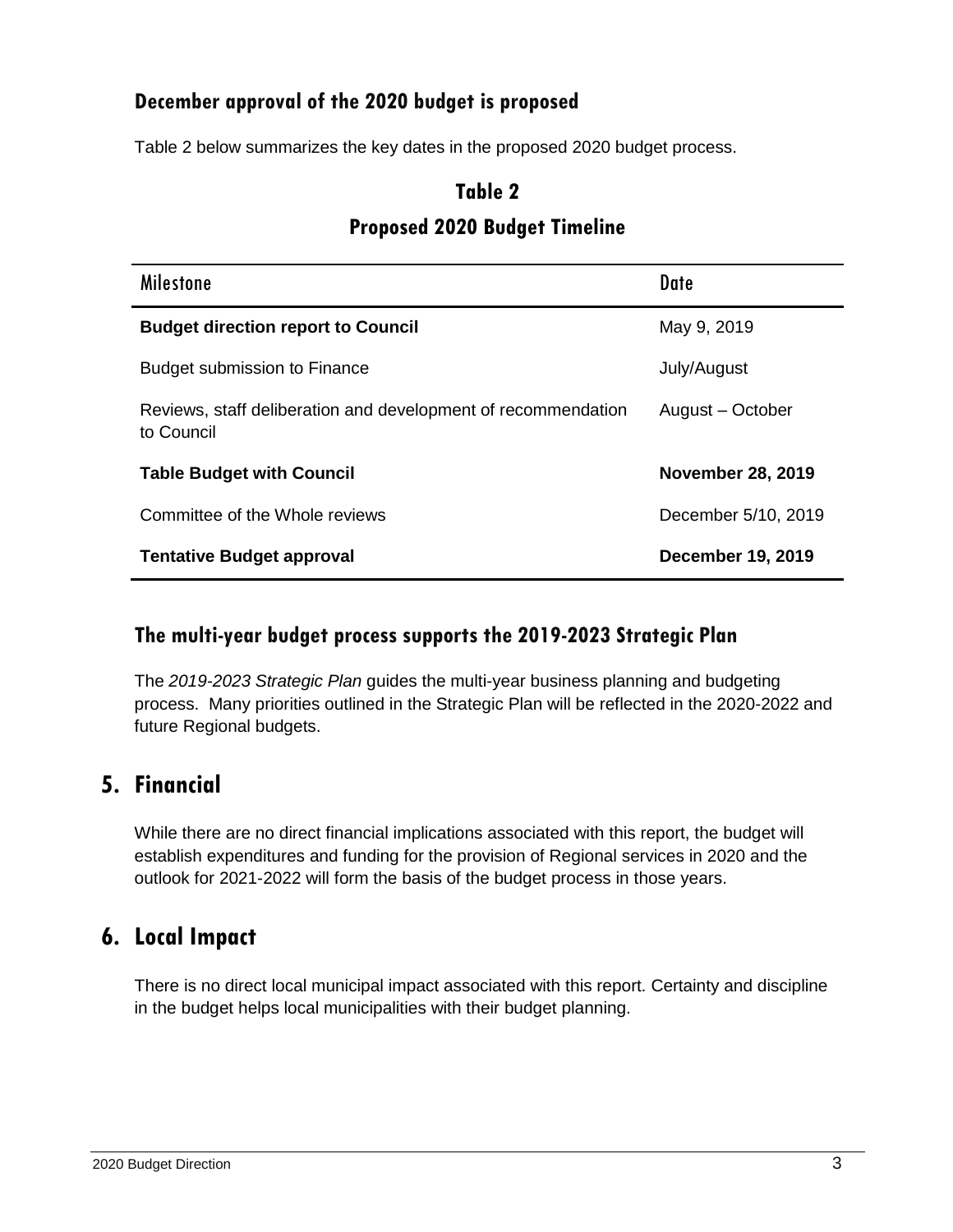### **December approval of the 2020 budget is proposed**

Table 2 below summarizes the key dates in the proposed 2020 budget process.

### **Table 2**

#### **Proposed 2020 Budget Timeline**

| <b>Milestone</b>                                                            | <b>Date</b>              |
|-----------------------------------------------------------------------------|--------------------------|
| <b>Budget direction report to Council</b>                                   | May 9, 2019              |
| <b>Budget submission to Finance</b>                                         | July/August              |
| Reviews, staff deliberation and development of recommendation<br>to Council | August - October         |
| <b>Table Budget with Council</b>                                            | <b>November 28, 2019</b> |
| Committee of the Whole reviews                                              | December 5/10, 2019      |
| <b>Tentative Budget approval</b>                                            | <b>December 19, 2019</b> |

#### **The multi-year budget process supports the 2019-2023 Strategic Plan**

The *2019-2023 Strategic Plan* guides the multi-year business planning and budgeting process. Many priorities outlined in the Strategic Plan will be reflected in the 2020-2022 and future Regional budgets.

## **5. Financial**

While there are no direct financial implications associated with this report, the budget will establish expenditures and funding for the provision of Regional services in 2020 and the outlook for 2021-2022 will form the basis of the budget process in those years.

## **6. Local Impact**

There is no direct local municipal impact associated with this report. Certainty and discipline in the budget helps local municipalities with their budget planning.